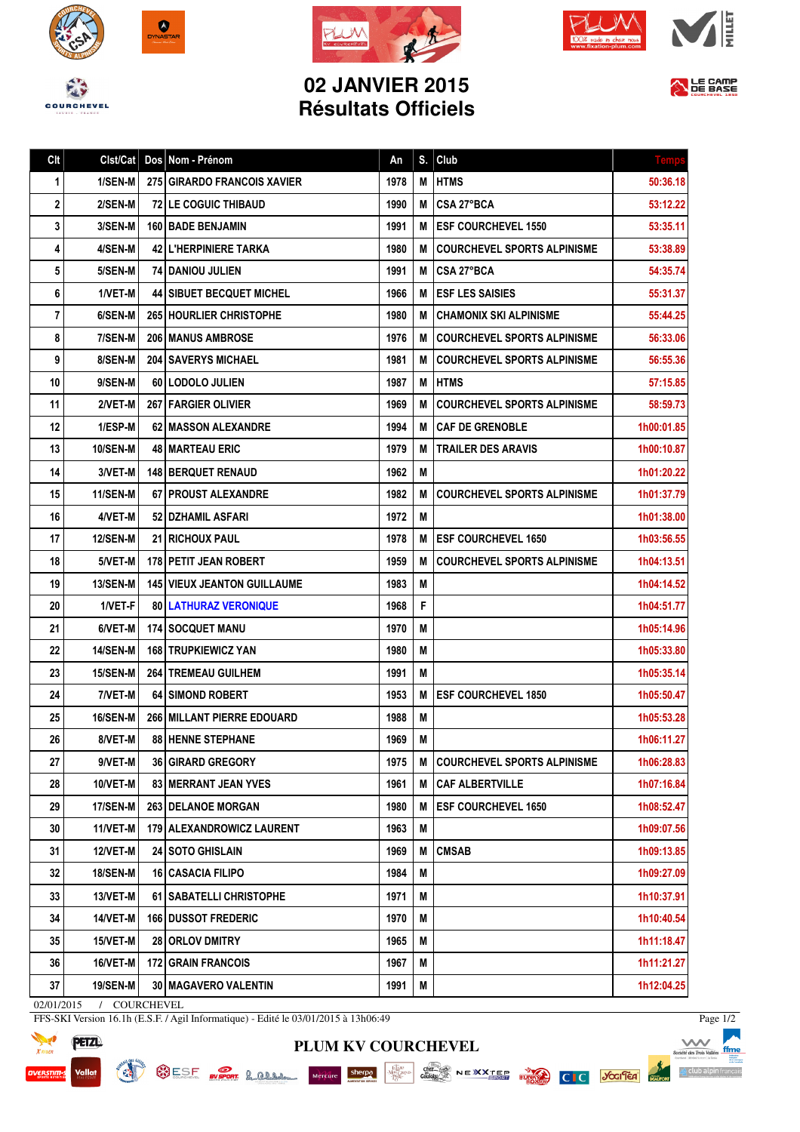



Clt Clst/Cat Dos Nom - Prénom An S. Club





## **02 JANVIER 2015 Résultats Officiels**



| 2  | 2/SEN-M         | 72 LE COGUIC THIBAUD               | 1990 | M | <b>CSA 27°BCA</b>                  | 53:12.22   |
|----|-----------------|------------------------------------|------|---|------------------------------------|------------|
| 3  | 3/SEN-M         | <b>160 BADE BENJAMIN</b>           | 1991 | M | <b>IESF COURCHEVEL 1550</b>        | 53:35.11   |
| 4  | 4/SEN-M         | 42 L'HERPINIERE TARKA              | 1980 | М | <b>COURCHEVEL SPORTS ALPINISME</b> | 53:38.89   |
| 5  | 5/SEN-M         | <b>74 DANIOU JULIEN</b>            | 1991 | M | CSA 27°BCA                         | 54:35.74   |
| 6  | 1/VET-M         | <b>44 SIBUET BECQUET MICHEL</b>    | 1966 | M | <b>ESF LES SAISIES</b>             | 55:31.37   |
| 7  | 6/SEN-M         | 265   HOURLIER CHRISTOPHE          | 1980 | м | <b>CHAMONIX SKI ALPINISME</b>      | 55:44.25   |
| 8  | 7/SEN-M         | <b>206   MANUS AMBROSE</b>         | 1976 | M | <b>COURCHEVEL SPORTS ALPINISME</b> | 56:33.06   |
| 9  | 8/SEN-M         | <b>204   SAVERYS MICHAEL</b>       | 1981 | M | <b>COURCHEVEL SPORTS ALPINISME</b> | 56:55.36   |
| 10 | 9/SEN-M         | 60   LODOLO JULIEN                 | 1987 | M | <b>HTMS</b>                        | 57:15.85   |
| 11 | 2/VET-M         | 267   FARGIER OLIVIER              | 1969 | M | <b>COURCHEVEL SPORTS ALPINISME</b> | 58:59.73   |
| 12 | 1/ESP-M         | 62   MASSON ALEXANDRE              | 1994 | M | <b>CAF DE GRENOBLE</b>             | 1h00:01.85 |
| 13 | <b>10/SEN-M</b> | <b>48   MARTEAU ERIC</b>           | 1979 | M | <b>TRAILER DES ARAVIS</b>          | 1h00:10.87 |
| 14 | 3/VET-M         | <b>148 BERQUET RENAUD</b>          | 1962 | M |                                    | 1h01:20.22 |
| 15 | 11/SEN-M        | 67 PROUST ALEXANDRE                | 1982 | M | <b>COURCHEVEL SPORTS ALPINISME</b> | 1h01:37.79 |
| 16 | 4/VET-M         | <b>52 DZHAMIL ASFARI</b>           | 1972 | М |                                    | 1h01:38.00 |
| 17 | <b>12/SEN-M</b> | <b>21   RICHOUX PAUL</b>           | 1978 | М | <b>ESF COURCHEVEL 1650</b>         | 1h03:56.55 |
| 18 | 5/VET-M         | 178   PETIT JEAN ROBERT            | 1959 | M | <b>COURCHEVEL SPORTS ALPINISME</b> | 1h04:13.51 |
| 19 | <b>13/SEN-M</b> | <b>145 VIEUX JEANTON GUILLAUME</b> | 1983 | M |                                    | 1h04:14.52 |
| 20 | 1/VET-F         | <b>80 LATHURAZ VERONIQUE</b>       | 1968 | F |                                    | 1h04:51.77 |
| 21 | 6/VET-M         | <b>174   SOCQUET MANU</b>          | 1970 | M |                                    | 1h05:14.96 |
| 22 | <b>14/SEN-M</b> | <b>168   TRUPKIEWICZ YAN</b>       | 1980 | Μ |                                    | 1h05:33.80 |
| 23 | <b>15/SEN-M</b> | <b>264   TREMEAU GUILHEM</b>       | 1991 | M |                                    | 1h05:35.14 |
| 24 | 7/VET-M         | <b>64 SIMOND ROBERT</b>            | 1953 | M | <b>ESF COURCHEVEL 1850</b>         | 1h05:50.47 |
| 25 | <b>16/SEN-M</b> | <b>266 MILLANT PIERRE EDOUARD</b>  | 1988 | Μ |                                    | 1h05:53.28 |
| 26 | 8/VET-M         | <b>88 HENNE STEPHANE</b>           | 1969 | M |                                    | 1h06:11.27 |
| 27 | 9/VET-M         | <b>36 GIRARD GREGORY</b>           | 1975 | M | <b>COURCHEVEL SPORTS ALPINISME</b> | 1h06:28.83 |
| 28 | 10/VET-M        | 83   MERRANT JEAN YVES             | 1961 | M | <b>CAF ALBERTVILLE</b>             | 1h07:16.84 |
| 29 | <b>17/SEN-M</b> | 263 DELANOE MORGAN                 | 1980 | M | <b>ESF COURCHEVEL 1650</b>         | 1h08:52.47 |
| 30 | 11/VET-M        | 179 ALEXANDROWICZ LAURENT          | 1963 | M |                                    | 1h09:07.56 |
| 31 | 12/VET-M        | 24 SOTO GHISLAIN                   | 1969 | M | <b>CMSAB</b>                       | 1h09:13.85 |
| 32 | <b>18/SEN-M</b> | 16 CASACIA FILIPO                  | 1984 | Μ |                                    | 1h09:27.09 |
| 33 | 13/VET-M        | 61   SABATELLI CHRISTOPHE          | 1971 | M |                                    | 1h10:37.91 |
| 34 | 14/VET-M        | <b>166 DUSSOT FREDERIC</b>         | 1970 | M |                                    | 1h10:40.54 |
| 35 | <b>15/VET-M</b> | 28 ORLOV DMITRY                    | 1965 | Μ |                                    | 1h11:18.47 |
| 36 | 16/VET-M        | <b>172 GRAIN FRANCOIS</b>          | 1967 | M |                                    | 1h11:21.27 |
| 37 | <b>19/SEN-M</b> | <b>30   MAGAVERO VALENTIN</b>      | 1991 | M |                                    | 1h12:04.25 |

02/01/2015 / COURCHEVEL

**START AND STREET** 

FFS-SKI Version 16.1h (E.S.F. / Agil Informatique) - Edité le 03/01/2015 à 13h06:49

OESF OVERFORT & CLAN